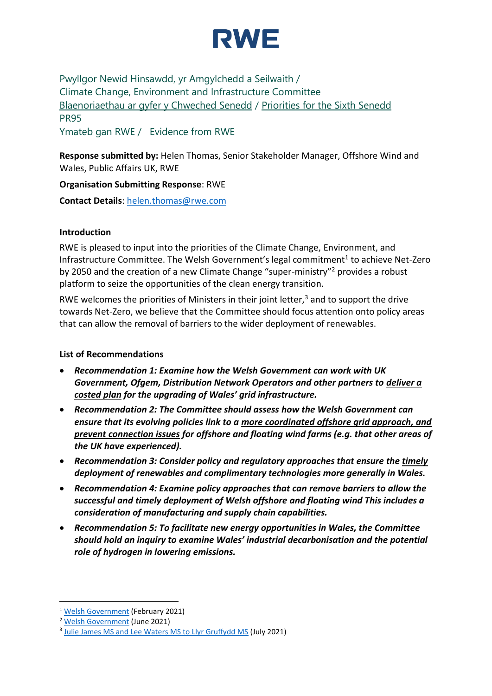

Pwyllgor Newid Hinsawdd, yr Amgylchedd a Seilwaith / Climate Change, Environment and Infrastructure Committee [Blaenoriaethau ar gyfer y Chweched Senedd](https://busnes.senedd.cymru/mgConsultationDisplay.aspx?id=427&RPID=1026452002&cp=yes) / [Priorities for the Sixth Senedd](https://business.senedd.wales/mgConsultationDisplay.aspx?id=427&RPID=1026452002&cp=yes) PR95

Ymateb gan RWE / Evidence from RWE

**Response submitted by:** Helen Thomas, Senior Stakeholder Manager, Offshore Wind and Wales, Public Affairs UK, RWE

**Organisation Submitting Response**: RWE

**Contact Details**: [helen.thomas@rwe.com](mailto:helen.thomas@rwe.com)

### **Introduction**

RWE is pleased to input into the priorities of the Climate Change, Environment, and Infrastructure Committee. The Welsh Government's legal commitment<sup>1</sup> to achieve Net-Zero by 2050 and the creation of a new Climate Change "super-ministry"<sup>2</sup> provides a robust platform to seize the opportunities of the clean energy transition.

RWE welcomes the priorities of Ministers in their joint letter, $3$  and to support the drive towards Net-Zero, we believe that the Committee should focus attention onto policy areas that can allow the removal of barriers to the wider deployment of renewables.

## **List of Recommendations**

- *Recommendation 1: Examine how the Welsh Government can work with UK Government, Ofgem, Distribution Network Operators and other partners to deliver a costed plan for the upgrading of Wales' grid infrastructure.*
- *Recommendation 2: The Committee should assess how the Welsh Government can ensure that its evolving policies link to a more coordinated offshore grid approach, and prevent connection issues for offshore and floating wind farms (e.g. that other areas of the UK have experienced).*
- *Recommendation 3: Consider policy and regulatory approaches that ensure the timely deployment of renewables and complimentary technologies more generally in Wales.*
- *Recommendation 4: Examine policy approaches that can remove barriers to allow the successful and timely deployment of Welsh offshore and floating wind This includes a consideration of manufacturing and supply chain capabilities.*
- *Recommendation 5: To facilitate new energy opportunities in Wales, the Committee should hold an inquiry to examine Wales' industrial decarbonisation and the potential role of hydrogen in lowering emissions.*

<sup>1</sup> [Welsh Government](https://gov.wales/wales-commits-net-zero-2050-sets-out-ambitions-get-there-sooner) (February 2021)

<sup>&</sup>lt;sup>2</sup> [Welsh Government](https://gov.wales/a-stronger-greener-fairer-wales-for-everyone) (June 2021)

<sup>&</sup>lt;sup>3</sup> [Julie James MS and Lee Waters MS to Llyr Gruffydd MS](https://business.senedd.wales/documents/s116925/Letter%20from%20the%20Minister%20and%20Deputy%20Minister%20for%20Climate%20Change%20on%20the%20Welsh%20Governments%20priorities.pdf) (July 2021)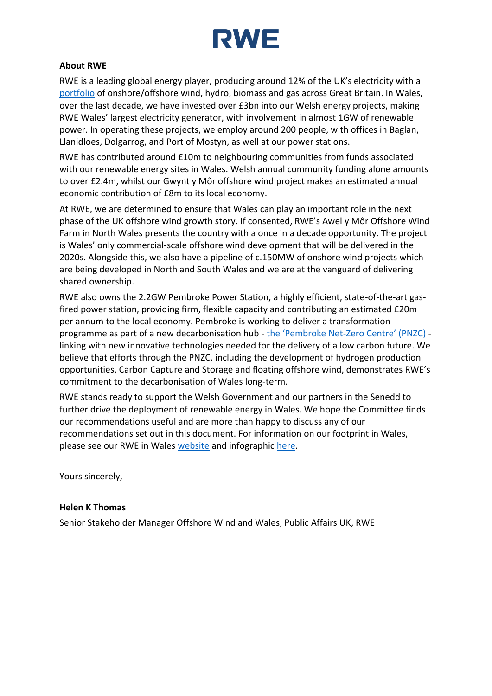

## **About RWE**

RWE is a leading global energy player, producing around 12% of the UK's electricity with a [portfolio](https://uk-ireland.rwe.com/-/media/RWE/RWE-UK/downloads/rwe-in-the-uk.pdf) of onshore/offshore wind, hydro, biomass and gas across Great Britain. In Wales, over the last decade, we have invested over £3bn into our Welsh energy projects, making RWE Wales' largest electricity generator, with involvement in almost 1GW of renewable power. In operating these projects, we employ around 200 people, with offices in Baglan, Llanidloes, Dolgarrog, and Port of Mostyn, as well at our power stations.

RWE has contributed around £10m to neighbouring communities from funds associated with our renewable energy sites in Wales. Welsh annual community funding alone amounts to over £2.4m, whilst our Gwynt y Môr offshore wind project makes an estimated annual economic contribution of £8m to its local economy.

At RWE, we are determined to ensure that Wales can play an important role in the next phase of the UK offshore wind growth story. If consented, RWE's Awel y Môr Offshore Wind Farm in North Wales presents the country with a once in a decade opportunity. The project is Wales' only commercial-scale offshore wind development that will be delivered in the 2020s. Alongside this, we also have a pipeline of c.150MW of onshore wind projects which are being developed in North and South Wales and we are at the vanguard of delivering shared ownership.

RWE also owns the 2.2GW Pembroke Power Station, a highly efficient, state-of-the-art gasfired power station, providing firm, flexible capacity and contributing an estimated £20m per annum to the local economy. Pembroke is working to deliver a transformation programme as part of a new decarbonisation hub - the 'Pembroke Net-[Zero Centre' \(PNZC\)](https://uk-ireland.rwe.com/-/media/RWE/RWE-UK/downloads/innovation/pnzc-infographic.jpg) linking with new innovative technologies needed for the delivery of a low carbon future. We believe that efforts through the PNZC, including the development of hydrogen production opportunities, Carbon Capture and Storage and floating offshore wind, demonstrates RWE's commitment to the decarbonisation of Wales long-term.

RWE stands ready to support the Welsh Government and our partners in the Senedd to further drive the deployment of renewable energy in Wales. We hope the Committee finds our recommendations useful and are more than happy to discuss any of our recommendations set out in this document. For information on our footprint in Wales, please see our RWE in Wales [website](https://uk-ireland.rwe.com/rwe-in-wales) and infographic [here.](https://uk-ireland.rwe.com/-/media/RWE/RWE-UK/downloads/rwe-in-wales-infographic-en.pdf)

Yours sincerely,

#### **Helen K Thomas**

Senior Stakeholder Manager Offshore Wind and Wales, Public Affairs UK, RWE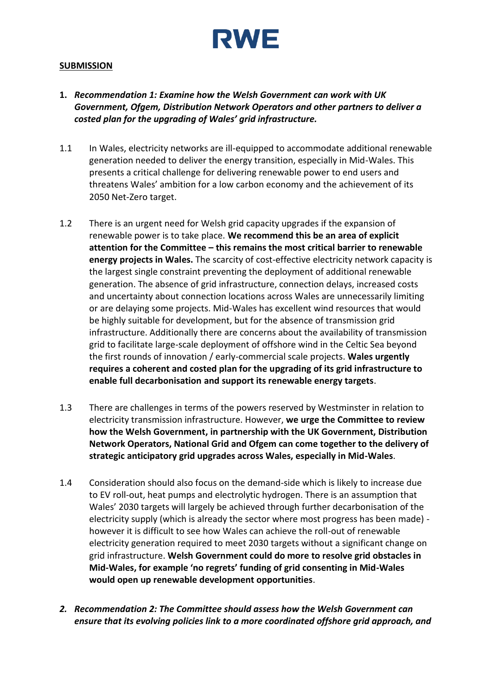

#### **SUBMISSION**

- **1.** *Recommendation 1: Examine how the Welsh Government can work with UK Government, Ofgem, Distribution Network Operators and other partners to deliver a costed plan for the upgrading of Wales' grid infrastructure.*
- 1.1 In Wales, electricity networks are ill-equipped to accommodate additional renewable generation needed to deliver the energy transition, especially in Mid-Wales. This presents a critical challenge for delivering renewable power to end users and threatens Wales' ambition for a low carbon economy and the achievement of its 2050 Net-Zero target.
- 1.2 There is an urgent need for Welsh grid capacity upgrades if the expansion of renewable power is to take place. **We recommend this be an area of explicit attention for the Committee – this remains the most critical barrier to renewable energy projects in Wales.** The scarcity of cost-effective electricity network capacity is the largest single constraint preventing the deployment of additional renewable generation. The absence of grid infrastructure, connection delays, increased costs and uncertainty about connection locations across Wales are unnecessarily limiting or are delaying some projects. Mid-Wales has excellent wind resources that would be highly suitable for development, but for the absence of transmission grid infrastructure. Additionally there are concerns about the availability of transmission grid to facilitate large-scale deployment of offshore wind in the Celtic Sea beyond the first rounds of innovation / early-commercial scale projects. **Wales urgently requires a coherent and costed plan for the upgrading of its grid infrastructure to enable full decarbonisation and support its renewable energy targets**.
- 1.3 There are challenges in terms of the powers reserved by Westminster in relation to electricity transmission infrastructure. However, **we urge the Committee to review how the Welsh Government, in partnership with the UK Government, Distribution Network Operators, National Grid and Ofgem can come together to the delivery of strategic anticipatory grid upgrades across Wales, especially in Mid-Wales**.
- 1.4 Consideration should also focus on the demand-side which is likely to increase due to EV roll-out, heat pumps and electrolytic hydrogen. There is an assumption that Wales' 2030 targets will largely be achieved through further decarbonisation of the electricity supply (which is already the sector where most progress has been made) however it is difficult to see how Wales can achieve the roll-out of renewable electricity generation required to meet 2030 targets without a significant change on grid infrastructure. **Welsh Government could do more to resolve grid obstacles in Mid-Wales, for example 'no regrets' funding of grid consenting in Mid-Wales would open up renewable development opportunities**.
- *2. Recommendation 2: The Committee should assess how the Welsh Government can ensure that its evolving policies link to a more coordinated offshore grid approach, and*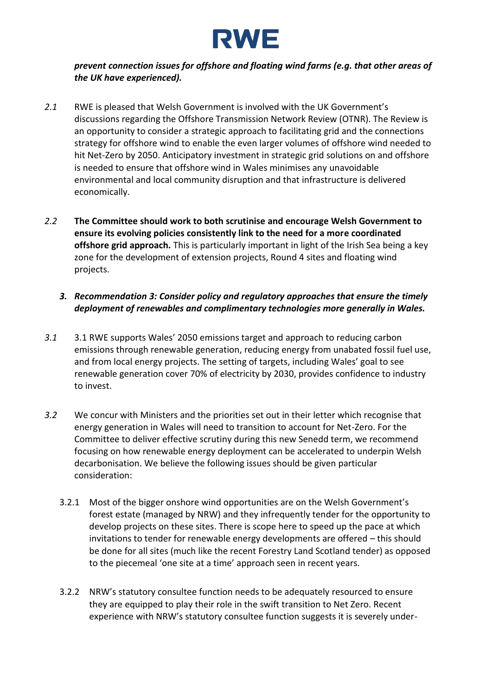

## *prevent connection issues for offshore and floating wind farms (e.g. that other areas of the UK have experienced).*

- *2.1* RWE is pleased that Welsh Government is involved with the UK Government's discussions regarding the Offshore Transmission Network Review (OTNR). The Review is an opportunity to consider a strategic approach to facilitating grid and the connections strategy for offshore wind to enable the even larger volumes of offshore wind needed to hit Net-Zero by 2050. Anticipatory investment in strategic grid solutions on and offshore is needed to ensure that offshore wind in Wales minimises any unavoidable environmental and local community disruption and that infrastructure is delivered economically.
- *2.2* **The Committee should work to both scrutinise and encourage Welsh Government to ensure its evolving policies consistently link to the need for a more coordinated offshore grid approach.** This is particularly important in light of the Irish Sea being a key zone for the development of extension projects, Round 4 sites and floating wind projects.
	- *3. Recommendation 3: Consider policy and regulatory approaches that ensure the timely deployment of renewables and complimentary technologies more generally in Wales.*
- *3.1* 3.1 RWE supports Wales' 2050 emissions target and approach to reducing carbon emissions through renewable generation, reducing energy from unabated fossil fuel use, and from local energy projects. The setting of targets, including Wales' goal to see renewable generation cover 70% of electricity by 2030, provides confidence to industry to invest.
- *3.2* We concur with Ministers and the priorities set out in their letter which recognise that energy generation in Wales will need to transition to account for Net-Zero. For the Committee to deliver effective scrutiny during this new Senedd term, we recommend focusing on how renewable energy deployment can be accelerated to underpin Welsh decarbonisation. We believe the following issues should be given particular consideration:
	- 3.2.1 Most of the bigger onshore wind opportunities are on the Welsh Government's forest estate (managed by NRW) and they infrequently tender for the opportunity to develop projects on these sites. There is scope here to speed up the pace at which invitations to tender for renewable energy developments are offered – this should be done for all sites (much like the recent Forestry Land Scotland tender) as opposed to the piecemeal 'one site at a time' approach seen in recent years.
	- 3.2.2 NRW's statutory consultee function needs to be adequately resourced to ensure they are equipped to play their role in the swift transition to Net Zero. Recent experience with NRW's statutory consultee function suggests it is severely under-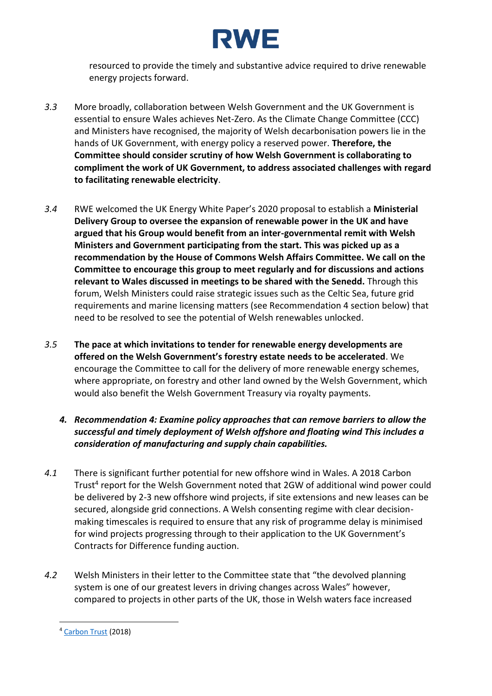

resourced to provide the timely and substantive advice required to drive renewable energy projects forward.

- *3.3* More broadly, collaboration between Welsh Government and the UK Government is essential to ensure Wales achieves Net-Zero. As the Climate Change Committee (CCC) and Ministers have recognised, the majority of Welsh decarbonisation powers lie in the hands of UK Government, with energy policy a reserved power. **Therefore, the Committee should consider scrutiny of how Welsh Government is collaborating to compliment the work of UK Government, to address associated challenges with regard to facilitating renewable electricity**.
- *3.4* RWE welcomed the UK Energy White Paper's 2020 proposal to establish a **Ministerial Delivery Group to oversee the expansion of renewable power in the UK and have argued that his Group would benefit from an inter-governmental remit with Welsh Ministers and Government participating from the start. This was picked up as a recommendation by the House of Commons Welsh Affairs Committee. We call on the Committee to encourage this group to meet regularly and for discussions and actions relevant to Wales discussed in meetings to be shared with the Senedd.** Through this forum, Welsh Ministers could raise strategic issues such as the Celtic Sea, future grid requirements and marine licensing matters (see Recommendation 4 section below) that need to be resolved to see the potential of Welsh renewables unlocked.
- *3.5* **The pace at which invitations to tender for renewable energy developments are offered on the Welsh Government's forestry estate needs to be accelerated**. We encourage the Committee to call for the delivery of more renewable energy schemes, where appropriate, on forestry and other land owned by the Welsh Government, which would also benefit the Welsh Government Treasury via royalty payments.
	- *4. Recommendation 4: Examine policy approaches that can remove barriers to allow the successful and timely deployment of Welsh offshore and floating wind This includes a consideration of manufacturing and supply chain capabilities.*
- *4.1* There is significant further potential for new offshore wind in Wales. A 2018 Carbon Trust<sup>4</sup> report for the Welsh Government noted that 2GW of additional wind power could be delivered by 2-3 new offshore wind projects, if site extensions and new leases can be secured, alongside grid connections. A Welsh consenting regime with clear decisionmaking timescales is required to ensure that any risk of programme delay is minimised for wind projects progressing through to their application to the UK Government's Contracts for Difference funding auction.
- *4.2* Welsh Ministers in their letter to the Committee state that "the devolved planning system is one of our greatest levers in driving changes across Wales" however, compared to projects in other parts of the UK, those in Welsh waters face increased

<sup>4</sup> [Carbon Trust](https://www.carbontrust.com/resources/future-potential-for-offshore-wind-in-wales) (2018)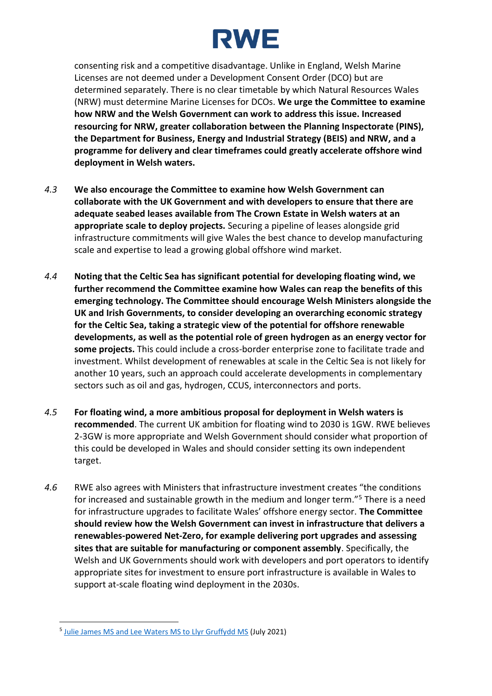

consenting risk and a competitive disadvantage. Unlike in England, Welsh Marine Licenses are not deemed under a Development Consent Order (DCO) but are determined separately. There is no clear timetable by which Natural Resources Wales (NRW) must determine Marine Licenses for DCOs. **We urge the Committee to examine how NRW and the Welsh Government can work to address this issue. Increased resourcing for NRW, greater collaboration between the Planning Inspectorate (PINS), the Department for Business, Energy and Industrial Strategy (BEIS) and NRW, and a programme for delivery and clear timeframes could greatly accelerate offshore wind deployment in Welsh waters.**

- *4.3* **We also encourage the Committee to examine how Welsh Government can collaborate with the UK Government and with developers to ensure that there are adequate seabed leases available from The Crown Estate in Welsh waters at an appropriate scale to deploy projects.** Securing a pipeline of leases alongside grid infrastructure commitments will give Wales the best chance to develop manufacturing scale and expertise to lead a growing global offshore wind market.
- *4.4* **Noting that the Celtic Sea has significant potential for developing floating wind, we further recommend the Committee examine how Wales can reap the benefits of this emerging technology. The Committee should encourage Welsh Ministers alongside the UK and Irish Governments, to consider developing an overarching economic strategy for the Celtic Sea, taking a strategic view of the potential for offshore renewable developments, as well as the potential role of green hydrogen as an energy vector for some projects.** This could include a cross-border enterprise zone to facilitate trade and investment. Whilst development of renewables at scale in the Celtic Sea is not likely for another 10 years, such an approach could accelerate developments in complementary sectors such as oil and gas, hydrogen, CCUS, interconnectors and ports.
- *4.5* **For floating wind, a more ambitious proposal for deployment in Welsh waters is recommended**. The current UK ambition for floating wind to 2030 is 1GW. RWE believes 2-3GW is more appropriate and Welsh Government should consider what proportion of this could be developed in Wales and should consider setting its own independent target.
- *4.6* RWE also agrees with Ministers that infrastructure investment creates "the conditions for increased and sustainable growth in the medium and longer term."<sup>5</sup> There is a need for infrastructure upgrades to facilitate Wales' offshore energy sector. **The Committee should review how the Welsh Government can invest in infrastructure that delivers a renewables-powered Net-Zero, for example delivering port upgrades and assessing sites that are suitable for manufacturing or component assembly**. Specifically, the Welsh and UK Governments should work with developers and port operators to identify appropriate sites for investment to ensure port infrastructure is available in Wales to support at-scale floating wind deployment in the 2030s.

<sup>&</sup>lt;sup>5</sup> [Julie James MS and Lee Waters MS to Llyr Gruffydd MS](https://business.senedd.wales/documents/s116925/Letter%20from%20the%20Minister%20and%20Deputy%20Minister%20for%20Climate%20Change%20on%20the%20Welsh%20Governments%20priorities.pdf) (July 2021)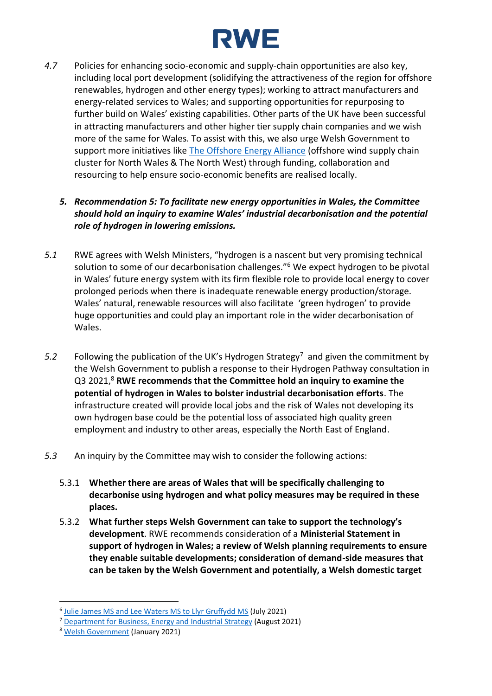# **RWE**

*4.7* Policies for enhancing socio-economic and supply-chain opportunities are also key, including local port development (solidifying the attractiveness of the region for offshore renewables, hydrogen and other energy types); working to attract manufacturers and energy-related services to Wales; and supporting opportunities for repurposing to further build on Wales' existing capabilities. Other parts of the UK have been successful in attracting manufacturers and other higher tier supply chain companies and we wish more of the same for Wales. To assist with this, we also urge Welsh Government to support more initiatives like [The Offshore Energy Alliance](https://www.linkedin.com/company/the-offshore-energy-alliance/) (offshore wind supply chain cluster for North Wales & The North West) through funding, collaboration and resourcing to help ensure socio-economic benefits are realised locally.

# *5. Recommendation 5: To facilitate new energy opportunities in Wales, the Committee should hold an inquiry to examine Wales' industrial decarbonisation and the potential role of hydrogen in lowering emissions.*

- *5.1* RWE agrees with Welsh Ministers, "hydrogen is a nascent but very promising technical solution to some of our decarbonisation challenges."<sup>6</sup> We expect hydrogen to be pivotal in Wales' future energy system with its firm flexible role to provide local energy to cover prolonged periods when there is inadequate renewable energy production/storage. Wales' natural, renewable resources will also facilitate 'green hydrogen' to provide huge opportunities and could play an important role in the wider decarbonisation of Wales.
- 5.2 Following the publication of the UK's Hydrogen Strategy<sup>7</sup> and given the commitment by the Welsh Government to publish a response to their Hydrogen Pathway consultation in Q3 2021,<sup>8</sup> **RWE recommends that the Committee hold an inquiry to examine the potential of hydrogen in Wales to bolster industrial decarbonisation efforts**. The infrastructure created will provide local jobs and the risk of Wales not developing its own hydrogen base could be the potential loss of associated high quality green employment and industry to other areas, especially the North East of England.
- *5.3* An inquiry by the Committee may wish to consider the following actions:
	- 5.3.1 **Whether there are areas of Wales that will be specifically challenging to decarbonise using hydrogen and what policy measures may be required in these places.**
	- 5.3.2 **What further steps Welsh Government can take to support the technology's development**. RWE recommends consideration of a **Ministerial Statement in support of hydrogen in Wales; a review of Welsh planning requirements to ensure they enable suitable developments; consideration of demand-side measures that can be taken by the Welsh Government and potentially, a Welsh domestic target**

<sup>&</sup>lt;sup>6</sup> [Julie James MS and Lee Waters MS to Llyr Gruffydd MS](https://business.senedd.wales/documents/s116925/Letter%20from%20the%20Minister%20and%20Deputy%20Minister%20for%20Climate%20Change%20on%20the%20Welsh%20Governments%20priorities.pdf) (July 2021)

<sup>7</sup> [Department for Business, Energy and Industrial Strategy](https://www.gov.uk/government/publications/uk-hydrogen-strategy) (August 2021)

<sup>8</sup> [Welsh Government](https://gov.wales/sites/default/files/consultations/2021-01/hydrogen-in-wales-consultation.pdf) (January 2021)